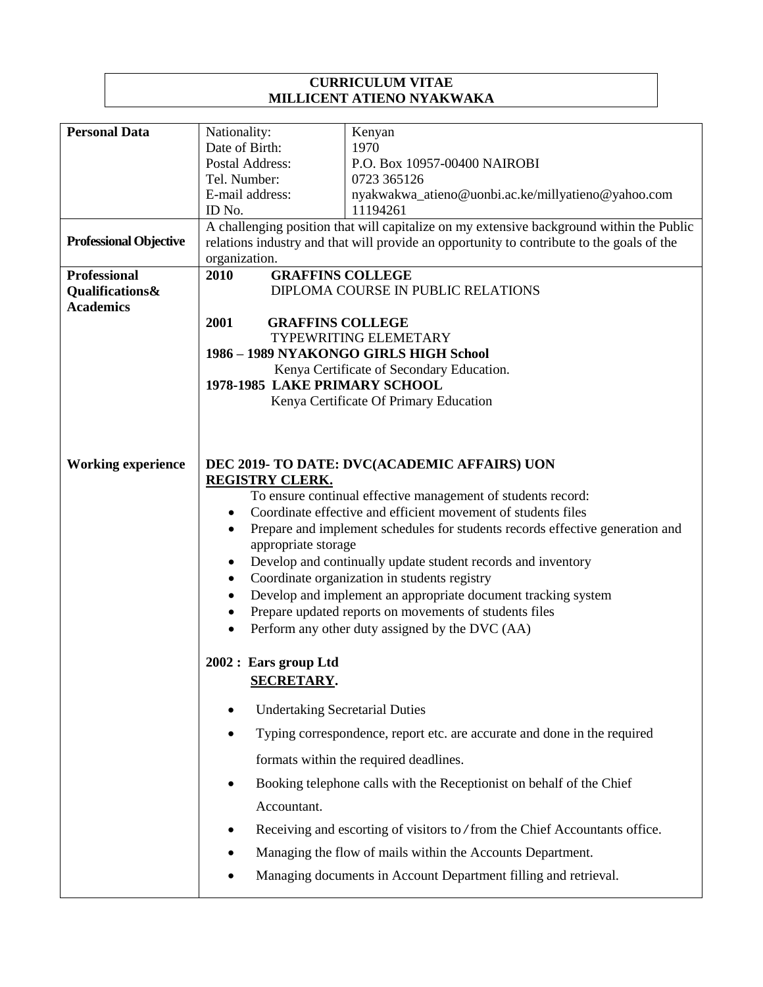## **CURRICULUM VITAE MILLICENT ATIENO NYAKWAKA**

| <b>Personal Data</b>          | Nationality:                                                                               | Kenyan                                                                      |  |
|-------------------------------|--------------------------------------------------------------------------------------------|-----------------------------------------------------------------------------|--|
|                               | Date of Birth:                                                                             | 1970                                                                        |  |
|                               | Postal Address:                                                                            | P.O. Box 10957-00400 NAIROBI                                                |  |
|                               | Tel. Number:                                                                               | 0723 365126                                                                 |  |
|                               | E-mail address:                                                                            | nyakwakwa_atieno@uonbi.ac.ke/millyatieno@yahoo.com                          |  |
|                               | ID No.                                                                                     | 11194261                                                                    |  |
|                               | A challenging position that will capitalize on my extensive background within the Public   |                                                                             |  |
| <b>Professional Objective</b> | relations industry and that will provide an opportunity to contribute to the goals of the  |                                                                             |  |
| <b>Professional</b>           | organization.                                                                              |                                                                             |  |
| <b>Qualifications&amp;</b>    | <b>GRAFFINS COLLEGE</b><br>2010<br>DIPLOMA COURSE IN PUBLIC RELATIONS                      |                                                                             |  |
| <b>Academics</b>              |                                                                                            |                                                                             |  |
|                               | 2001<br><b>GRAFFINS COLLEGE</b>                                                            |                                                                             |  |
|                               |                                                                                            | TYPEWRITING ELEMETARY                                                       |  |
|                               |                                                                                            | 1986 - 1989 NYAKONGO GIRLS HIGH School                                      |  |
|                               | Kenya Certificate of Secondary Education.                                                  |                                                                             |  |
|                               | 1978-1985 LAKE PRIMARY SCHOOL                                                              |                                                                             |  |
|                               |                                                                                            | Kenya Certificate Of Primary Education                                      |  |
|                               |                                                                                            |                                                                             |  |
|                               |                                                                                            |                                                                             |  |
| <b>Working experience</b>     |                                                                                            | DEC 2019- TO DATE: DVC(ACADEMIC AFFAIRS) UON                                |  |
|                               | <b>REGISTRY CLERK.</b>                                                                     |                                                                             |  |
|                               |                                                                                            | To ensure continual effective management of students record:                |  |
|                               | Coordinate effective and efficient movement of students files<br>$\bullet$                 |                                                                             |  |
|                               | Prepare and implement schedules for students records effective generation and<br>$\bullet$ |                                                                             |  |
|                               | appropriate storage                                                                        |                                                                             |  |
|                               | Develop and continually update student records and inventory<br>٠                          |                                                                             |  |
|                               | $\bullet$                                                                                  | Coordinate organization in students registry                                |  |
|                               | $\bullet$                                                                                  | Develop and implement an appropriate document tracking system               |  |
|                               | $\bullet$                                                                                  | Prepare updated reports on movements of students files                      |  |
|                               | $\bullet$                                                                                  | Perform any other duty assigned by the DVC (AA)                             |  |
|                               |                                                                                            |                                                                             |  |
|                               | 2002 : Ears group Ltd                                                                      |                                                                             |  |
|                               | <b>SECRETARY.</b>                                                                          |                                                                             |  |
|                               | <b>Undertaking Secretarial Duties</b><br>٠                                                 |                                                                             |  |
|                               |                                                                                            | Typing correspondence, report etc. are accurate and done in the required    |  |
|                               |                                                                                            | formats within the required deadlines.                                      |  |
|                               |                                                                                            | Booking telephone calls with the Receptionist on behalf of the Chief        |  |
|                               | Accountant.                                                                                |                                                                             |  |
|                               |                                                                                            | Receiving and escorting of visitors to / from the Chief Accountants office. |  |
|                               |                                                                                            | Managing the flow of mails within the Accounts Department.                  |  |
|                               |                                                                                            | Managing documents in Account Department filling and retrieval.             |  |
|                               |                                                                                            |                                                                             |  |